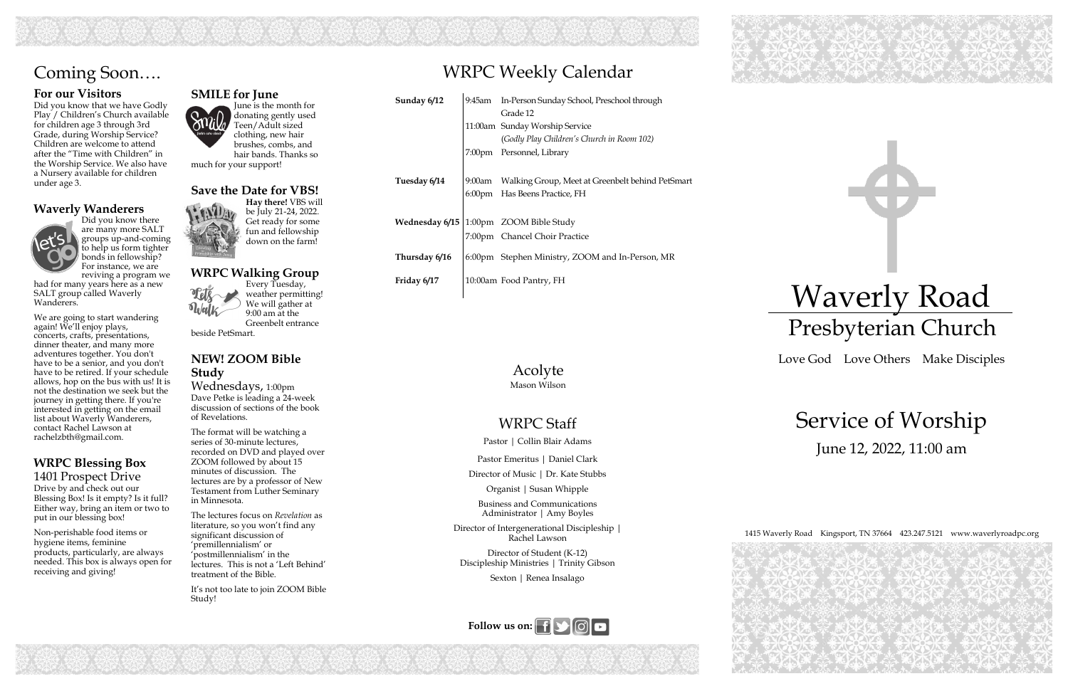

RE DRE

## WRPC Weekly Calendar







### WRPC Staff

Pastor | Collin Blair Adams

Pastor Emeritus | Daniel Clark

Director of Music | Dr. Kate Stubbs

Organist | Susan Whipple

Business and Communications Administrator | Amy Boyles

Director of Intergenerational Discipleship | Rachel Lawson

Director of Student (K-12) Discipleship Ministries | Trinity Gibson

Sexton | Renea Insalago

| Sunday 6/12    | 9:45am    | In-Person Sunday School, Preschool through       |
|----------------|-----------|--------------------------------------------------|
|                |           | Grade 12                                         |
|                |           | 11:00am Sunday Worship Service                   |
|                |           | (Godly Play Children's Church in Room 102)       |
|                |           | 7:00pm Personnel, Library                        |
|                |           |                                                  |
| Tuesday 6/14   | $9:00$ am | Walking Group, Meet at Greenbelt behind PetSmart |
|                |           | 6:00pm Has Beens Practice, FH                    |
|                |           |                                                  |
| Wednesday 6/15 |           | 1:00pm ZOOM Bible Study                          |
|                |           | 7:00pm Chancel Choir Practice                    |
|                |           |                                                  |
| Thursday 6/16  |           | 6:00pm Stephen Ministry, ZOOM and In-Person, MR  |
| Friday 6/17    |           | 10:00am Food Pantry, FH                          |
|                |           |                                                  |

### **For our Visitors**

Did you know that we have Godly Play / Children's Church available for children age 3 through 3rd Grade, during Worship Service? Children are welcome to attend after the "Time with Children" in the Worship Service. We also have a Nursery available for children under age 3.

#### **Waverly Wanderers**  Did you know there



are many more SALT groups up-and-coming to help us form tighter bonds in fellowship? For instance, we are reviving a program we

had for many years here as a new SALT group called Waverly Wanderers.

We are going to start wandering again! We'll enjoy plays, concerts, crafts, presentations, dinner theater, and many more adventures together. You don't have to be a senior, and you don't have to be retired. If your schedule allows, hop on the bus with us! It is not the destination we seek but the journey in getting there. If you're interested in getting on the email list about Waverly Wanderers, contact Rachel Lawson at rachelzbth@gmail.com.

### **WRPC Blessing Box** 1401 Prospect Drive

Drive by and check out our Blessing Box! Is it empty? Is it full? Either way, bring an item or two to put in our blessing box!

Non-perishable food items or hygiene items, feminine products, particularly, are always needed. This box is always open for receiving and giving!

# Coming Soon….

#### Acolyte Mason Wilson

### **SMILE for June**

June is the month for donating gently used Teen/Adult sized clothing, new hair brushes, combs, and hair bands. Thanks so much for your support!

#### **Save the Date for VBS!**

**Hay there!** VBS will be July 21-24, 2022. Get ready for some fun and fellowship down on the farm!

#### **WRPC Walking Group**  Every Tuesday, weather permitting!

We will gather at 9:00 am at the Greenbelt entrance

beside PetSmart.

**NEW! ZOOM Bible Study** 

Wednesdays, 1:00pm Dave Petke is leading a 24-week discussion of sections of the book of Revelations.

The format will be watching a series of 30-minute lectures, recorded on DVD and played over ZOOM followed by about 15 minutes of discussion. The lectures are by a professor of New Testament from Luther Seminary in Minnesota.

The lectures focus on *Revelation* as literature, so you won't find any significant discussion of 'premillennialism' or 'postmillennialism' in the lectures. This is not a 'Left Behind' treatment of the Bible.

It's not too late to join ZOOM Bible Study!

# Waverly Road Presbyterian Church

Love God Love Others Make Disciples

# Service of Worship June 12, 2022, 11:00 am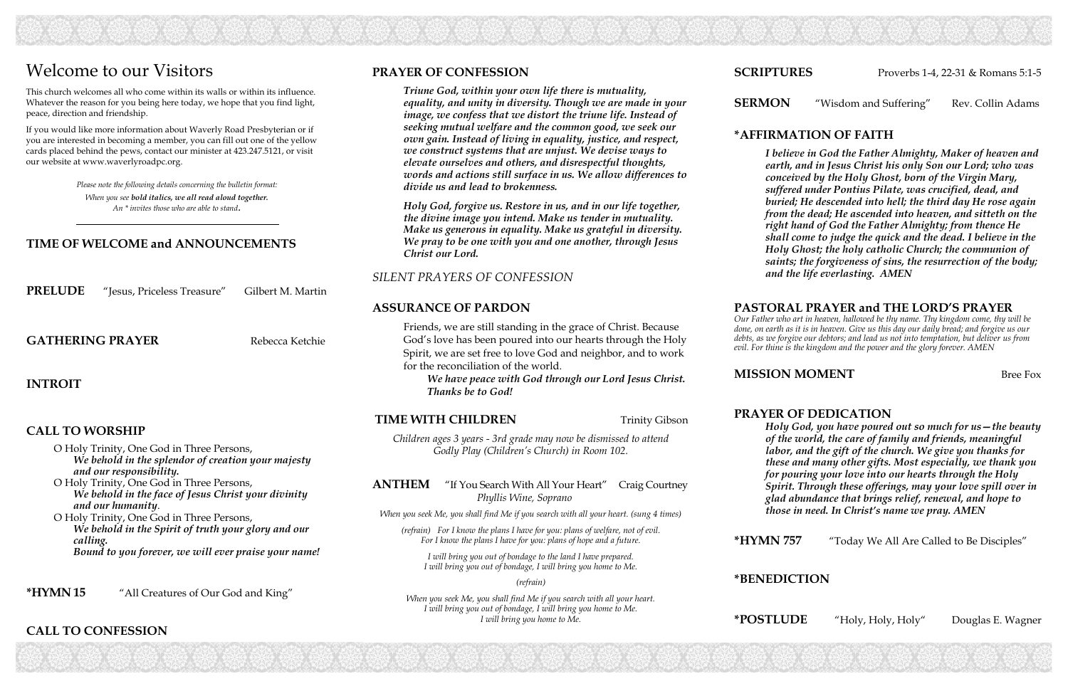**SERMON** "Wisdom and Suffering" Rev. Collin Adams

### **\*AFFIRMATION OF FAITH**

*I believe in God the Father Almighty, Maker of heaven and earth, and in Jesus Christ his only Son our Lord; who was conceived by the Holy Ghost, born of the Virgin Mary, suffered under Pontius Pilate, was crucified, dead, and buried; He descended into hell; the third day He rose again from the dead; He ascended into heaven, and sitteth on the right hand of God the Father Almighty; from thence He shall come to judge the quick and the dead. I believe in the Holy Ghost; the holy catholic Church; the communion of saints; the forgiveness of sins, the resurrection of the body; and the life everlasting. AMEN*

#### **PASTORAL PRAYER and THE LORD'S PRAYER**

*Our Father who art in heaven, hallowed be thy name. Thy kingdom come, thy will be done, on earth as it is in heaven. Give us this day our daily bread; and forgive us our debts, as we forgive our debtors; and lead us not into temptation, but deliver us from evil. For thine is the kingdom and the power and the glory forever. AMEN* 

### **MISSION MOMENT** Bree Fox

### **PRAYER OF DEDICATION**

*Holy God, you have poured out so much for us—the beauty of the world, the care of family and friends, meaningful labor, and the gift of the church. We give you thanks for these and many other gifts. Most especially, we thank you for pouring your love into our hearts through the Holy Spirit. Through these offerings, may your love spill over in glad abundance that brings relief, renewal, and hope to those in need. In Christ's name we pray. AMEN* 

**\*HYMN 757** "Today We All Are Called to Be Disciples"

**\*BENEDICTION**

**\*POSTLUDE** "Holy, Holy, Holy" Douglas E. Wagner

### **TIME OF WELCOME and ANNOUNCEMENTS**

**PRELUDE** "Jesus, Priceless Treasure" Gilbert M. Martin

**GATHERING PRAYER** Rebecca Ketchie

#### **INTROIT**

#### **CALL TO WORSHIP**

- O Holy Trinity, One God in Three Persons, *We behold in the splendor of creation your majesty and our responsibility.*
- O Holy Trinity, One God in Three Persons, *We behold in the face of Jesus Christ your divinity and our humanity*.

O Holy Trinity, One God in Three Persons, *We behold in the Spirit of truth your glory and our calling. Bound to you forever, we will ever praise your name!*

**\*HYMN 15** "All Creatures of Our God and King"

### **CALL TO CONFESSION**

*Please note the following details concerning the bulletin format: When you see bold italics, we all read aloud together. An \* invites those who are able to stand.*

## Welcome to our Visitors

This church welcomes all who come within its walls or within its influence. Whatever the reason for you being here today, we hope that you find light, peace, direction and friendship.

If you would like more information about Waverly Road Presbyterian or if you are interested in becoming a member, you can fill out one of the yellow cards placed behind the pews, contact our minister at 423.247.5121, or visit our website at www.waverlyroadpc.org.

#### **PRAYER OF CONFESSION**

*Triune God, within your own life there is mutuality, equality, and unity in diversity. Though we are made in your image, we confess that we distort the triune life. Instead of seeking mutual welfare and the common good, we seek our own gain. Instead of living in equality, justice, and respect, we construct systems that are unjust. We devise ways to elevate ourselves and others, and disrespectful thoughts, words and actions still surface in us. We allow differences to divide us and lead to brokenness.* 

*Holy God, forgive us. Restore in us, and in our life together, the divine image you intend. Make us tender in mutuality. Make us generous in equality. Make us grateful in diversity. We pray to be one with you and one another, through Jesus Christ our Lord.* 

#### *SILENT PRAYERS OF CONFESSION*

#### **ASSURANCE OF PARDON**

Friends, we are still standing in the grace of Christ. Because God's love has been poured into our hearts through the Holy Spirit, we are set free to love God and neighbor, and to work for the reconciliation of the world.

*We have peace with God through our Lord Jesus Christ. Thanks be to God!*

#### **TIME WITH CHILDREN** Trinity Gibson

*Children ages 3 years - 3rd grade may now be dismissed to attend Godly Play (Children's Church) in Room 102.* 

#### **ANTHEM** "If You Search With All Your Heart" Craig Courtney *Phyllis Wine, Soprano*

*When you seek Me, you shall find Me if you search with all your heart. (sung 4 times)*

*(refrain) For I know the plans I have for you: plans of welfare, not of evil. For I know the plans I have for you: plans of hope and a future.*

*I will bring you out of bondage to the land I have prepared. I will bring you out of bondage, I will bring you home to Me.*

*(refrain)*

*When you seek Me, you shall find Me if you search with all your heart. I will bring you out of bondage, I will bring you home to Me. I will bring you home to Me.*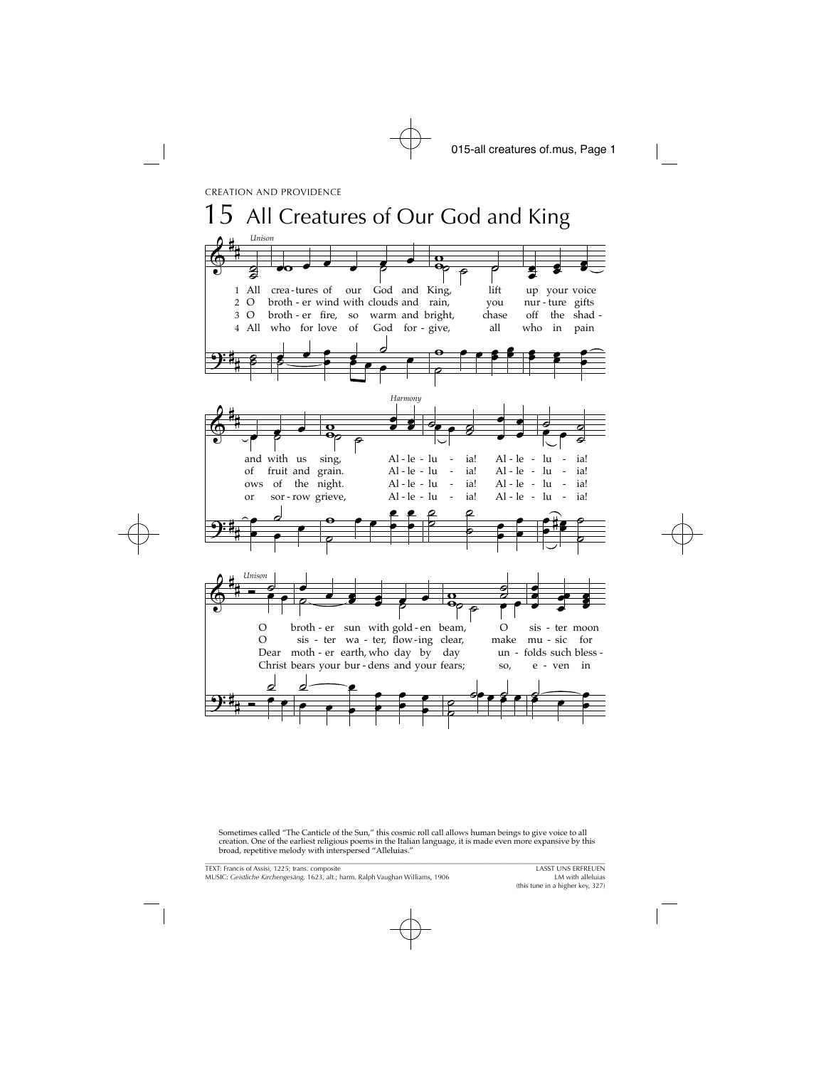

Sometimes called "The Canticle of the Sun," this cosmic roll call allows human beings to give voice to all creation. One of the earliest religious poems in the Italian language, it is made even more expansive by this broad, repetitive melody with interspersed "Alleluias."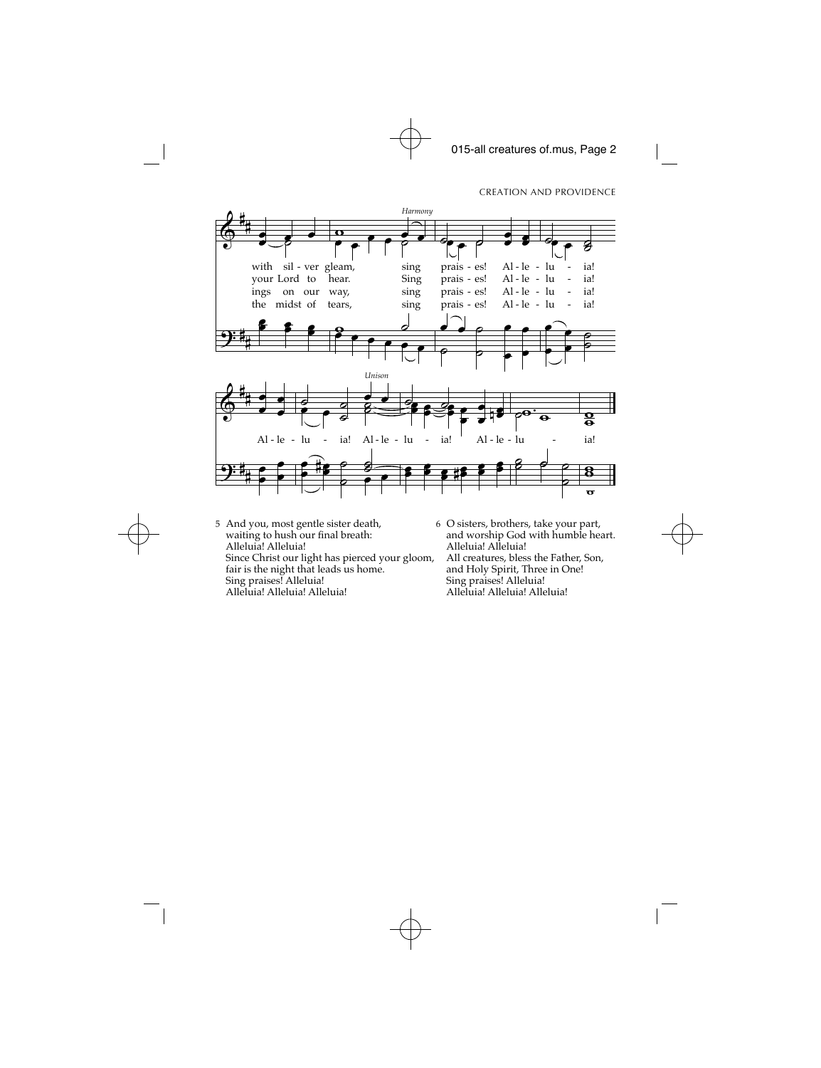

- 5 And you, most gentle sister death, waiting to hush our final breath: Alleluia! Alleluia! Since Christ our light has pierced your gloom, fair is the night that leads us home. Sing praises! Alleluia! Alleluia! Alleluia! Alleluia!
	- 6 O sisters, brothers, take your part, and worship God with humble heart. Alleluia! Alleluia! All creatures, bless the Father, Son, and Holy Spirit, Three in One! Sing praises! Alleluia! Alleluia! Alleluia! Alleluia!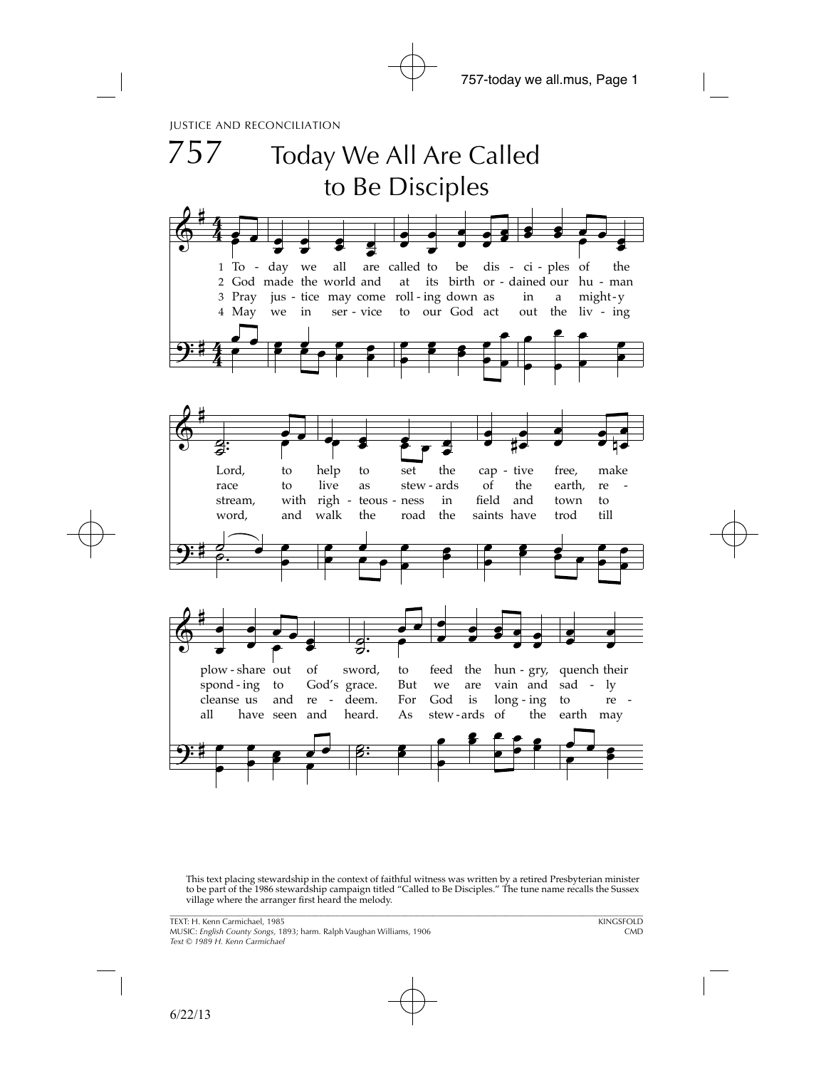

This text placing stewardship in the context of faithful witness was written by a retired Presbyterian minister to be part of the 1986 stewardship campaign titled "Called to Be Disciples." The tune name recalls the Sussex village where the arranger first heard the melody.

\_\_\_\_\_\_\_\_\_\_\_\_\_\_\_\_\_\_\_\_\_\_\_\_\_\_\_\_\_\_\_\_\_\_\_\_\_\_\_\_\_\_\_\_\_\_\_\_\_\_\_\_\_\_\_\_\_\_\_\_\_\_\_\_\_\_\_\_\_\_\_\_\_\_\_\_\_\_\_\_\_\_\_\_\_\_\_\_\_\_\_\_\_\_\_\_\_\_\_\_\_\_\_\_\_\_\_\_\_\_\_\_\_\_\_\_\_